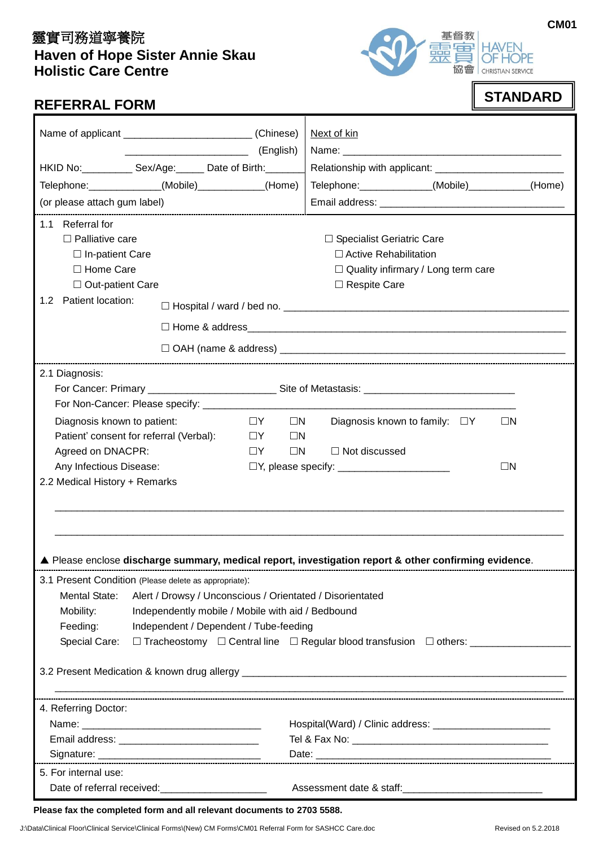# 靈實司務道寧養院  **Haven of Hope Sister Annie Skau Holistic Care Centre**



#### **CM01**

| <b>STANDARD</b> |
|-----------------|
|                 |

|                                                                            |  |                      | Next of kin                                                                                        |        |
|----------------------------------------------------------------------------|--|----------------------|----------------------------------------------------------------------------------------------------|--------|
|                                                                            |  | (English)            |                                                                                                    |        |
| HKID No: Sex/Age: Date of Birth:                                           |  |                      |                                                                                                    |        |
| Telephone: ______________(Mobile)____________(Home)                        |  |                      | Telephone: ______________(Mobile)___________                                                       | (Home) |
| (or please attach gum label)                                               |  |                      |                                                                                                    |        |
| 1.1 Referral for                                                           |  |                      |                                                                                                    |        |
| $\Box$ Palliative care                                                     |  |                      | □ Specialist Geriatric Care                                                                        |        |
| $\Box$ In-patient Care                                                     |  |                      | $\Box$ Active Rehabilitation                                                                       |        |
| □ Home Care                                                                |  |                      | $\Box$ Quality infirmary / Long term care                                                          |        |
| $\Box$ Out-patient Care                                                    |  |                      | $\Box$ Respite Care                                                                                |        |
| 1.2 Patient location:                                                      |  |                      |                                                                                                    |        |
|                                                                            |  |                      |                                                                                                    |        |
|                                                                            |  |                      |                                                                                                    |        |
| 2.1 Diagnosis:                                                             |  |                      |                                                                                                    |        |
|                                                                            |  |                      |                                                                                                    |        |
|                                                                            |  |                      |                                                                                                    |        |
| Diagnosis known to patient:                                                |  | $\Box Y$<br>$\Box N$ | Diagnosis known to family: $\Box Y$<br>$\Box N$                                                    |        |
| Patient' consent for referral (Verbal):                                    |  | $\Box Y$<br>$\Box N$ |                                                                                                    |        |
| Agreed on DNACPR:<br>$\Box Y$                                              |  | $\Box N$             | $\Box$ Not discussed                                                                               |        |
| Any Infectious Disease:                                                    |  | $\Box N$             |                                                                                                    |        |
| 2.2 Medical History + Remarks                                              |  |                      |                                                                                                    |        |
|                                                                            |  |                      |                                                                                                    |        |
|                                                                            |  |                      |                                                                                                    |        |
|                                                                            |  |                      |                                                                                                    |        |
|                                                                            |  |                      | Please enclose discharge summary, medical report, investigation report & other confirming evidence |        |
|                                                                            |  |                      |                                                                                                    |        |
| 3.1 Present Condition (Please delete as appropriate):                      |  |                      |                                                                                                    |        |
| Mental State:<br>Alert / Drowsy / Unconscious / Orientated / Disorientated |  |                      |                                                                                                    |        |
| Mobility:<br>Independently mobile / Mobile with aid / Bedbound             |  |                      |                                                                                                    |        |
| Feeding:<br>Independent / Dependent / Tube-feeding<br>Special Care:        |  |                      |                                                                                                    |        |
|                                                                            |  |                      |                                                                                                    |        |
|                                                                            |  |                      |                                                                                                    |        |
|                                                                            |  |                      |                                                                                                    |        |
| 4. Referring Doctor:                                                       |  |                      |                                                                                                    |        |
|                                                                            |  |                      |                                                                                                    |        |
|                                                                            |  |                      |                                                                                                    |        |
| 5. For internal use:                                                       |  |                      |                                                                                                    |        |
|                                                                            |  |                      |                                                                                                    |        |
| Date of referral received:<br><u> </u>                                     |  |                      |                                                                                                    |        |

#### **Please fax the completed form and all relevant documents to 2703 5588.**